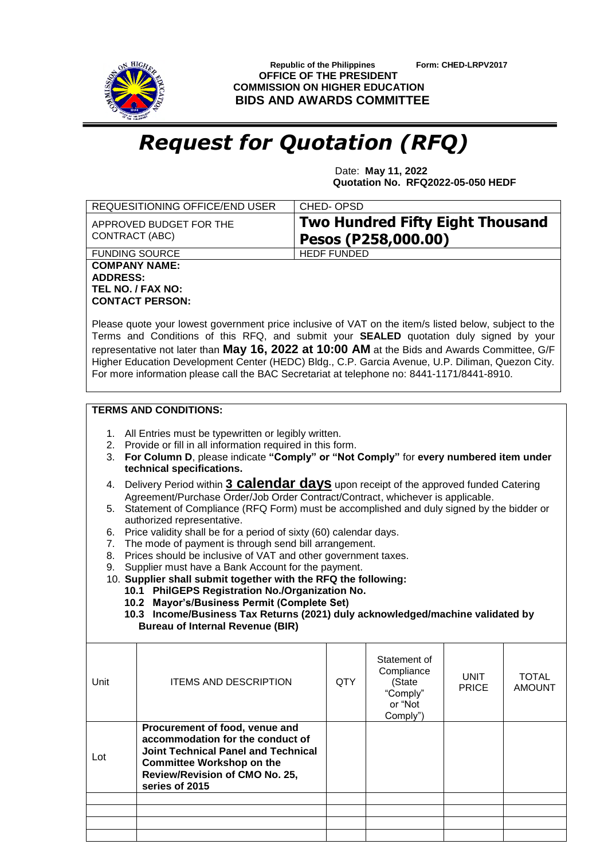

 **Republic of the Philippines Form: CHED-LRPV2017 OFFICE OF THE PRESIDENT COMMISSION ON HIGHER EDUCATION BIDS AND AWARDS COMMITTEE**

## *Request for Quotation (RFQ)*

 Date: **May 11, 2022 Quotation No. RFQ2022-05-050 HEDF**

|                                                                                                                                                                                                                                                                                                                                                                                                                                                                                                                                                                                                                                                                                                                                                                                                                                                                                                                                                                                                                                                                                                                                                    | CHED-OPSD          |                                                                |                      |                               |  |
|----------------------------------------------------------------------------------------------------------------------------------------------------------------------------------------------------------------------------------------------------------------------------------------------------------------------------------------------------------------------------------------------------------------------------------------------------------------------------------------------------------------------------------------------------------------------------------------------------------------------------------------------------------------------------------------------------------------------------------------------------------------------------------------------------------------------------------------------------------------------------------------------------------------------------------------------------------------------------------------------------------------------------------------------------------------------------------------------------------------------------------------------------|--------------------|----------------------------------------------------------------|----------------------|-------------------------------|--|
| APPROVED BUDGET FOR THE<br>CONTRACT (ABC)                                                                                                                                                                                                                                                                                                                                                                                                                                                                                                                                                                                                                                                                                                                                                                                                                                                                                                                                                                                                                                                                                                          |                    | <b>Two Hundred Fifty Eight Thousand</b><br>Pesos (P258,000.00) |                      |                               |  |
| <b>FUNDING SOURCE</b>                                                                                                                                                                                                                                                                                                                                                                                                                                                                                                                                                                                                                                                                                                                                                                                                                                                                                                                                                                                                                                                                                                                              | <b>HEDF FUNDED</b> |                                                                |                      |                               |  |
| <b>COMPANY NAME:</b><br><b>ADDRESS:</b><br>TEL NO. / FAX NO:<br><b>CONTACT PERSON:</b><br>Please quote your lowest government price inclusive of VAT on the item/s listed below, subject to the<br>Terms and Conditions of this RFQ, and submit your SEALED quotation duly signed by your<br>representative not later than May 16, 2022 at 10:00 AM at the Bids and Awards Committee, G/F<br>Higher Education Development Center (HEDC) Bldg., C.P. Garcia Avenue, U.P. Diliman, Quezon City.<br>For more information please call the BAC Secretariat at telephone no: 8441-1171/8441-8910.                                                                                                                                                                                                                                                                                                                                                                                                                                                                                                                                                        |                    |                                                                |                      |                               |  |
| <b>TERMS AND CONDITIONS:</b>                                                                                                                                                                                                                                                                                                                                                                                                                                                                                                                                                                                                                                                                                                                                                                                                                                                                                                                                                                                                                                                                                                                       |                    |                                                                |                      |                               |  |
| 1. All Entries must be typewritten or legibly written.<br>2. Provide or fill in all information required in this form.<br>For Column D, please indicate "Comply" or "Not Comply" for every numbered item under<br>3.<br>technical specifications.<br>Delivery Period within 3 <b>Calendar days</b> upon receipt of the approved funded Catering<br>4.<br>Agreement/Purchase Order/Job Order Contract/Contract, whichever is applicable.<br>5. Statement of Compliance (RFQ Form) must be accomplished and duly signed by the bidder or<br>authorized representative.<br>Price validity shall be for a period of sixty (60) calendar days.<br>6.<br>The mode of payment is through send bill arrangement.<br>7.<br>Prices should be inclusive of VAT and other government taxes.<br>8.<br>Supplier must have a Bank Account for the payment.<br>9.<br>10. Supplier shall submit together with the RFQ the following:<br>10.1 PhilGEPS Registration No./Organization No.<br>10.2 Mayor's/Business Permit (Complete Set)<br>10.3 Income/Business Tax Returns (2021) duly acknowledged/machine validated by<br><b>Bureau of Internal Revenue (BIR)</b> |                    |                                                                |                      |                               |  |
| <b>ITEMS AND DESCRIPTION</b><br>Unit                                                                                                                                                                                                                                                                                                                                                                                                                                                                                                                                                                                                                                                                                                                                                                                                                                                                                                                                                                                                                                                                                                               | <b>QTY</b>         | Statement of<br>Compliance<br>(State<br>"Comply"<br>or "Not    | UNIT<br><b>PRICE</b> | <b>TOTAL</b><br><b>AMOUNT</b> |  |
|                                                                                                                                                                                                                                                                                                                                                                                                                                                                                                                                                                                                                                                                                                                                                                                                                                                                                                                                                                                                                                                                                                                                                    |                    |                                                                |                      |                               |  |
| Procurement of food, venue and<br>accommodation for the conduct of<br><b>Joint Technical Panel and Technical</b><br>Lot<br><b>Committee Workshop on the</b><br>Review/Revision of CMO No. 25,<br>series of 2015                                                                                                                                                                                                                                                                                                                                                                                                                                                                                                                                                                                                                                                                                                                                                                                                                                                                                                                                    |                    | Comply")                                                       |                      |                               |  |
|                                                                                                                                                                                                                                                                                                                                                                                                                                                                                                                                                                                                                                                                                                                                                                                                                                                                                                                                                                                                                                                                                                                                                    |                    |                                                                |                      |                               |  |
|                                                                                                                                                                                                                                                                                                                                                                                                                                                                                                                                                                                                                                                                                                                                                                                                                                                                                                                                                                                                                                                                                                                                                    |                    |                                                                |                      |                               |  |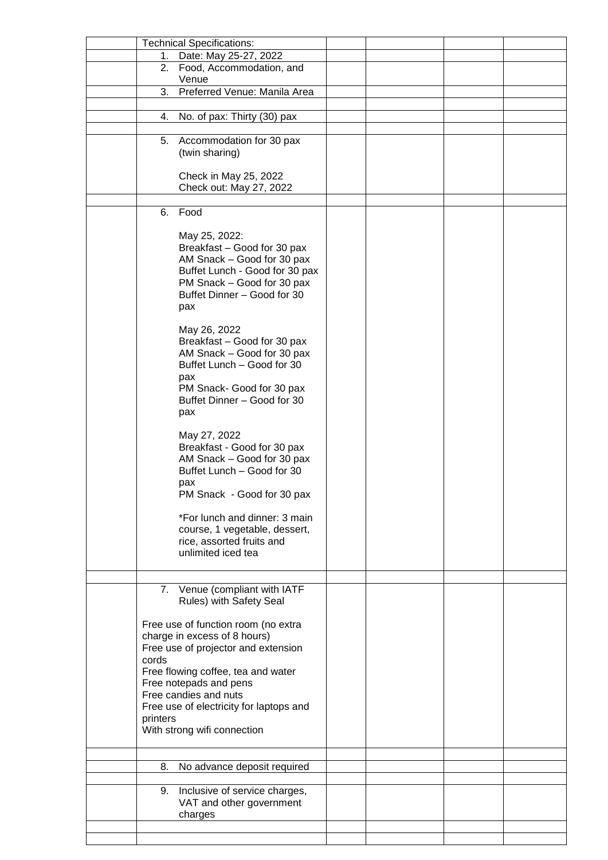|          | <b>Technical Specifications:</b>                             |  |  |
|----------|--------------------------------------------------------------|--|--|
|          | 1. Date: May 25-27, 2022                                     |  |  |
| 2.       | Food, Accommodation, and                                     |  |  |
|          | Venue                                                        |  |  |
| 3.       | Preferred Venue: Manila Area                                 |  |  |
|          |                                                              |  |  |
| 4.       | No. of pax: Thirty (30) pax                                  |  |  |
|          |                                                              |  |  |
| 5.       | Accommodation for 30 pax                                     |  |  |
|          | (twin sharing)                                               |  |  |
|          |                                                              |  |  |
|          | Check in May 25, 2022                                        |  |  |
|          | Check out: May 27, 2022                                      |  |  |
|          |                                                              |  |  |
| 6.       | Food                                                         |  |  |
|          |                                                              |  |  |
|          | May 25, 2022:                                                |  |  |
|          | Breakfast - Good for 30 pax                                  |  |  |
|          | AM Snack - Good for 30 pax                                   |  |  |
|          | Buffet Lunch - Good for 30 pax<br>PM Snack - Good for 30 pax |  |  |
|          | Buffet Dinner - Good for 30                                  |  |  |
|          | pax                                                          |  |  |
|          |                                                              |  |  |
|          | May 26, 2022                                                 |  |  |
|          | Breakfast - Good for 30 pax                                  |  |  |
|          | AM Snack - Good for 30 pax                                   |  |  |
|          | Buffet Lunch - Good for 30                                   |  |  |
|          | pax                                                          |  |  |
|          | PM Snack- Good for 30 pax                                    |  |  |
|          | Buffet Dinner - Good for 30                                  |  |  |
|          | pax                                                          |  |  |
|          |                                                              |  |  |
|          | May 27, 2022                                                 |  |  |
|          | Breakfast - Good for 30 pax                                  |  |  |
|          | AM Snack - Good for 30 pax                                   |  |  |
|          | Buffet Lunch - Good for 30                                   |  |  |
|          | pax                                                          |  |  |
|          | PM Snack - Good for 30 pax                                   |  |  |
|          | *For lunch and dinner: 3 main                                |  |  |
|          | course, 1 vegetable, dessert,                                |  |  |
|          | rice, assorted fruits and                                    |  |  |
|          | unlimited iced tea                                           |  |  |
|          |                                                              |  |  |
|          |                                                              |  |  |
|          | 7. Venue (compliant with IATF                                |  |  |
|          | Rules) with Safety Seal                                      |  |  |
|          |                                                              |  |  |
|          | Free use of function room (no extra                          |  |  |
|          | charge in excess of 8 hours)                                 |  |  |
|          | Free use of projector and extension                          |  |  |
| cords    |                                                              |  |  |
|          | Free flowing coffee, tea and water                           |  |  |
|          | Free notepads and pens                                       |  |  |
|          | Free candies and nuts                                        |  |  |
|          | Free use of electricity for laptops and                      |  |  |
| printers |                                                              |  |  |
|          | With strong wifi connection                                  |  |  |
|          |                                                              |  |  |
| 8.       | No advance deposit required                                  |  |  |
|          |                                                              |  |  |
| 9.       | Inclusive of service charges,                                |  |  |
|          | VAT and other government                                     |  |  |
|          | charges                                                      |  |  |
|          |                                                              |  |  |
|          |                                                              |  |  |